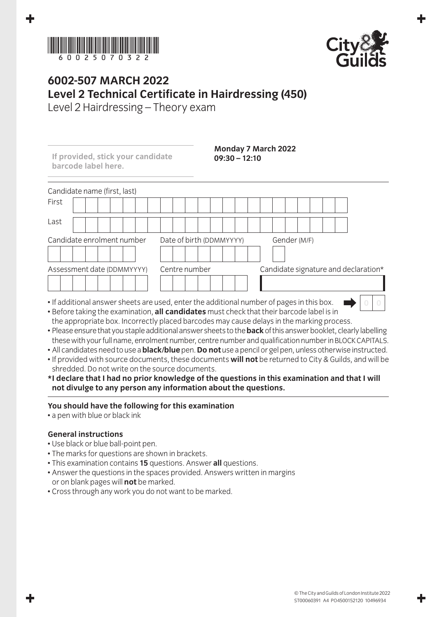



## **6002-507 March 2022 Level 2 Technical Certificate in Hairdressing (450)**

Level 2 Hairdressing – Theory exam

| If provided, stick your candidate<br>barcode label here. | $09:30 - 12:10$                                                                                                                                                                                                              | Monday 7 March 2022                  |
|----------------------------------------------------------|------------------------------------------------------------------------------------------------------------------------------------------------------------------------------------------------------------------------------|--------------------------------------|
| Candidate name (first, last)                             |                                                                                                                                                                                                                              |                                      |
| First                                                    |                                                                                                                                                                                                                              |                                      |
| Last                                                     |                                                                                                                                                                                                                              |                                      |
| Candidate enrolment number                               | Date of birth (DDMMYYYY)                                                                                                                                                                                                     | Gender (M/F)                         |
| Assessment date (DDMMYYYY)                               | Centre number                                                                                                                                                                                                                | Candidate signature and declaration* |
|                                                          | • If additional answer sheets are used, enter the additional number of pages in this box.<br>المتارية المحالما الماستقيما مالوا والمالية والمستحدث والمستقيلة المستقيم اللغا المستند والمستقيد والقسمان والمتاركين والمتاريخ |                                      |

- Before taking the examination, **all candidates** must check that their barcode label is in the appropriate box. Incorrectly placed barcodes may cause delays in the marking process.
- Please ensure that you staple additional answer sheets to the **back** of this answer booklet, clearly labelling these with your full name, enrolment number, centre number and qualification number in BLOCK CAPITALS.
- All candidates need to use a **black/blue** pen. **Do not** use a pencil or gel pen, unless otherwise instructed.
- If provided with source documents, these documents **will not** be returned to City & Guilds, and will be shredded. Do not write on the source documents.
- **\* I declare that I had no prior knowledge of the questions in this examination and that I will not divulge to any person any information about the questions.**

## **You should have the following for this examination**

• a pen with blue or black ink

## **General instructions**

- Use black or blue ball-point pen.
- The marks for questions are shown in brackets.
- This examination contains **15** questions. Answer **all** questions.
- Answer the questions in the spaces provided. Answers written in margins or on blank pages will **not** be marked.
- Cross through any work you do not want to be marked.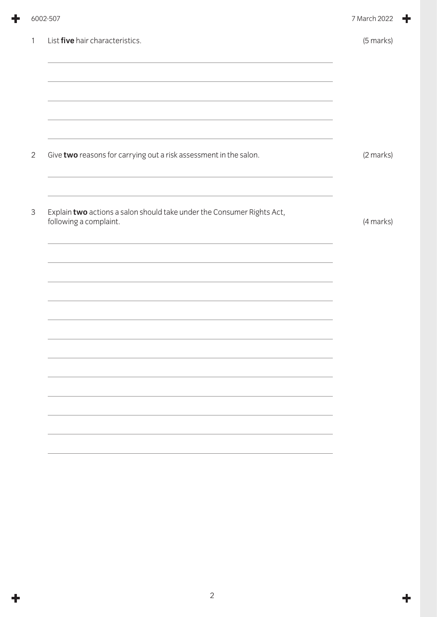|                | 6002-507                                                                                         | 7 March 2022 |
|----------------|--------------------------------------------------------------------------------------------------|--------------|
| $\mathbf{1}$   | List five hair characteristics.<br><u> 1989 - Johann Stoff, amerikansk politiker (* 1908)</u>    | (5 marks)    |
| $\overline{2}$ | Give two reasons for carrying out a risk assessment in the salon.                                | (2 marks)    |
| $\mathfrak{Z}$ | Explain two actions a salon should take under the Consumer Rights Act,<br>following a complaint. | (4 marks)    |
|                |                                                                                                  |              |
|                |                                                                                                  |              |
|                |                                                                                                  |              |
|                |                                                                                                  |              |
|                |                                                                                                  |              |

÷

 $\ddot{\mathbf{r}}$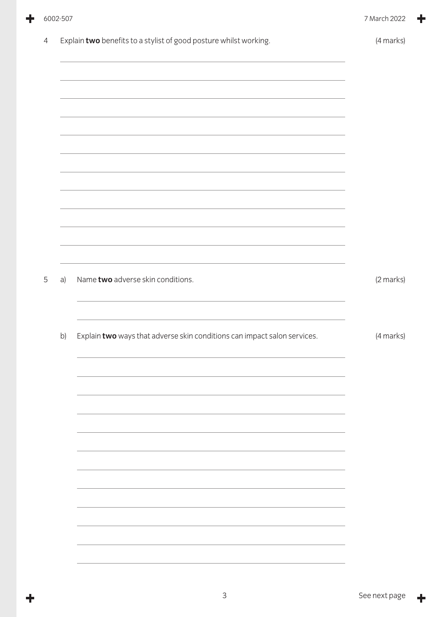|                | 6002-507 |                                                                          | 7 March 2022 |
|----------------|----------|--------------------------------------------------------------------------|--------------|
| $\overline{4}$ |          | Explain two benefits to a stylist of good posture whilst working.        | (4 marks)    |
|                |          |                                                                          |              |
|                |          |                                                                          |              |
|                |          |                                                                          |              |
|                |          |                                                                          |              |
|                |          |                                                                          |              |
|                |          | <u> 1989 - Johann Stoff, amerikansk politiker (* 1908)</u>               |              |
|                |          |                                                                          |              |
|                |          |                                                                          |              |
| 5              | a)       | Name two adverse skin conditions.                                        | (2 marks)    |
|                |          |                                                                          |              |
|                | b)       | Explain two ways that adverse skin conditions can impact salon services. | (4 marks)    |
|                |          |                                                                          |              |
|                |          |                                                                          |              |
|                |          |                                                                          |              |
|                |          |                                                                          |              |
|                |          |                                                                          |              |
|                |          |                                                                          |              |
|                |          |                                                                          |              |
|                |          |                                                                          |              |
|                |          |                                                                          |              |

 $\ddag$ 

╋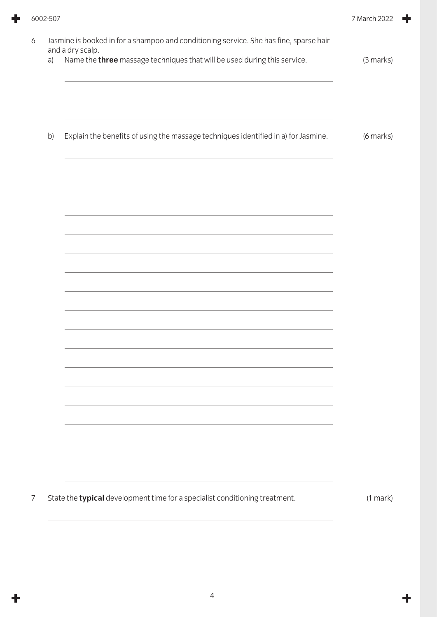| a) | Name the three massage techniques that will be used during this service.           | (3 marks) |
|----|------------------------------------------------------------------------------------|-----------|
| b) | Explain the benefits of using the massage techniques identified in a) for Jasmine. | (6 marks) |
|    |                                                                                    |           |
|    |                                                                                    |           |
|    | <u> 1989 - Johann Stoff, amerikansk politiker (* 1908)</u>                         |           |
|    |                                                                                    |           |
|    |                                                                                    |           |
|    |                                                                                    |           |
|    |                                                                                    |           |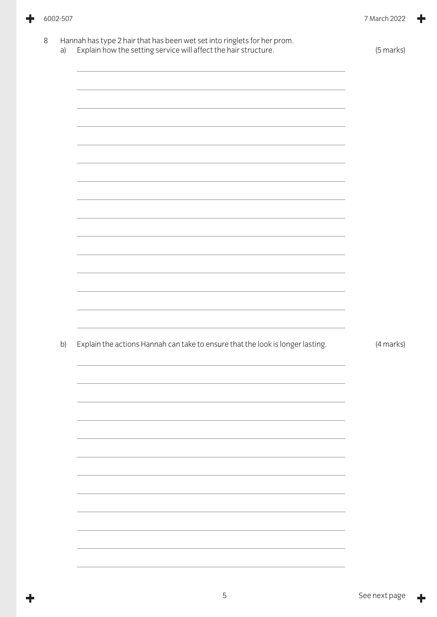÷

÷

|    | Explain how the setting service will affect the hair structure.                | (5 marks)                             |
|----|--------------------------------------------------------------------------------|---------------------------------------|
|    |                                                                                |                                       |
|    |                                                                                |                                       |
|    |                                                                                |                                       |
|    |                                                                                |                                       |
|    |                                                                                |                                       |
|    |                                                                                |                                       |
|    |                                                                                |                                       |
|    | <u> 1989 - Johann Stoff, amerikansk politiker (d. 1989)</u>                    |                                       |
|    |                                                                                |                                       |
|    |                                                                                |                                       |
|    |                                                                                |                                       |
|    |                                                                                |                                       |
|    |                                                                                |                                       |
|    |                                                                                |                                       |
|    |                                                                                |                                       |
| b) | Explain the actions Hannah can take to ensure that the look is longer lasting. |                                       |
|    |                                                                                |                                       |
|    |                                                                                |                                       |
|    |                                                                                |                                       |
|    |                                                                                |                                       |
|    |                                                                                |                                       |
|    |                                                                                |                                       |
|    |                                                                                |                                       |
|    |                                                                                |                                       |
|    |                                                                                | (4 marks)<br>$\overline{\phantom{a}}$ |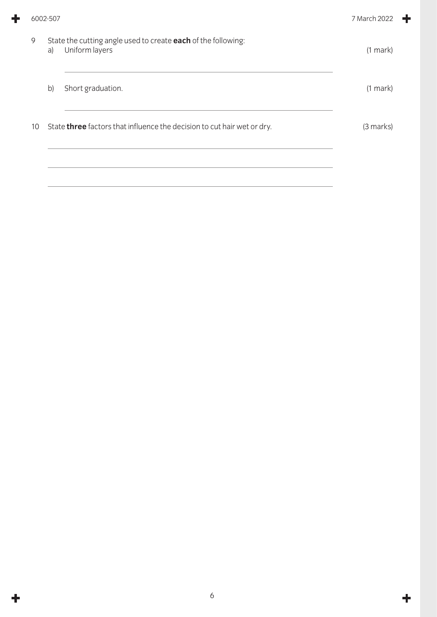| 9  | a)           | State the cutting angle used to create each of the following:<br>Uniform layers | $(1$ mark $)$ |
|----|--------------|---------------------------------------------------------------------------------|---------------|
|    | $\mathsf{b}$ | Short graduation.                                                               | $(1$ mark $)$ |
| 10 |              | State three factors that influence the decision to cut hair wet or dry.         | (3 marks)     |
|    |              |                                                                                 |               |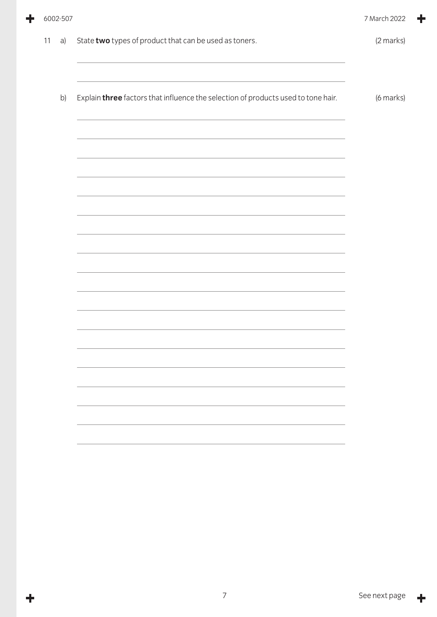|    |    |                                                                                                                                                                               | 7 March 2022 |
|----|----|-------------------------------------------------------------------------------------------------------------------------------------------------------------------------------|--------------|
| 11 | a) | State two types of product that can be used as toners.                                                                                                                        | (2 marks)    |
|    | b) | Explain three factors that influence the selection of products used to tone hair.                                                                                             | (6 marks)    |
|    |    |                                                                                                                                                                               |              |
|    |    |                                                                                                                                                                               |              |
|    |    | <u> 1989 - Johann Stoff, amerikansk politiker (* 1908)</u><br>and the state of the state of the state of the state of the state of the state of the state of the state of the |              |
|    |    |                                                                                                                                                                               |              |
|    |    |                                                                                                                                                                               |              |
|    |    |                                                                                                                                                                               |              |
|    |    |                                                                                                                                                                               |              |
|    |    |                                                                                                                                                                               |              |
|    |    |                                                                                                                                                                               |              |
|    |    | 6002-507                                                                                                                                                                      |              |

٠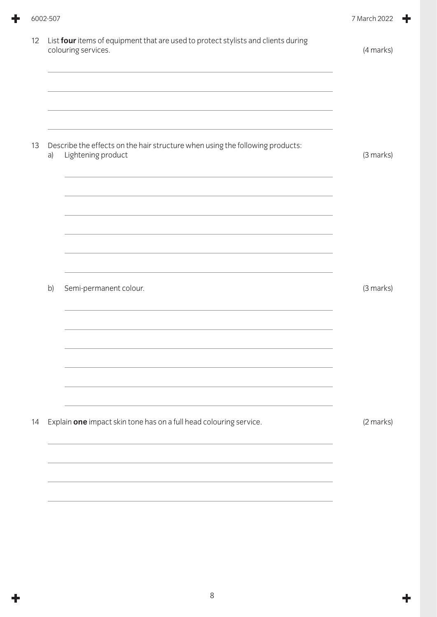|    | 6002-507 |                                                                                                          | 7 March 2022 |
|----|----------|----------------------------------------------------------------------------------------------------------|--------------|
| 12 |          | List four items of equipment that are used to protect stylists and clients during<br>colouring services. | (4 marks)    |
| 13 | a)       | Describe the effects on the hair structure when using the following products:<br>Lightening product      | (3 marks)    |
|    | b)       | Semi-permanent colour.                                                                                   | (3 marks)    |
| 14 |          | Explain one impact skin tone has on a full head colouring service.                                       | (2 marks)    |
|    |          |                                                                                                          |              |

 $\ddot{\mathbf{r}}$ 

 $\ddagger$ 

÷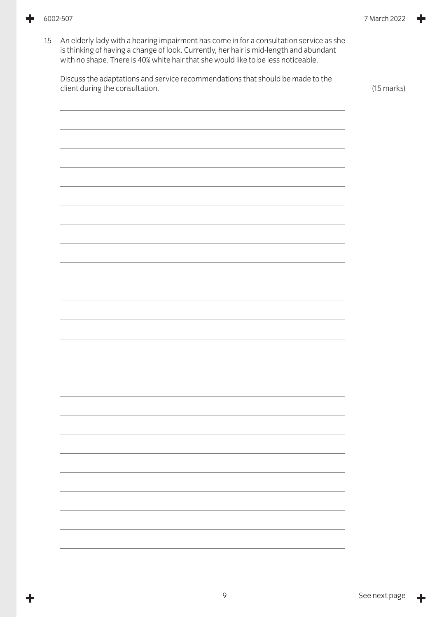÷

15 An elderly lady with a hearing impairment has come in for a consultation service as she is thinking of having a change of look. Currently, her hair is mid-length and abundant with no shape. There is 40% white hair that she would like to be less noticeable.

Discuss the adaptations and service recommendations that should be made to the client during the consultation. (15 marks)